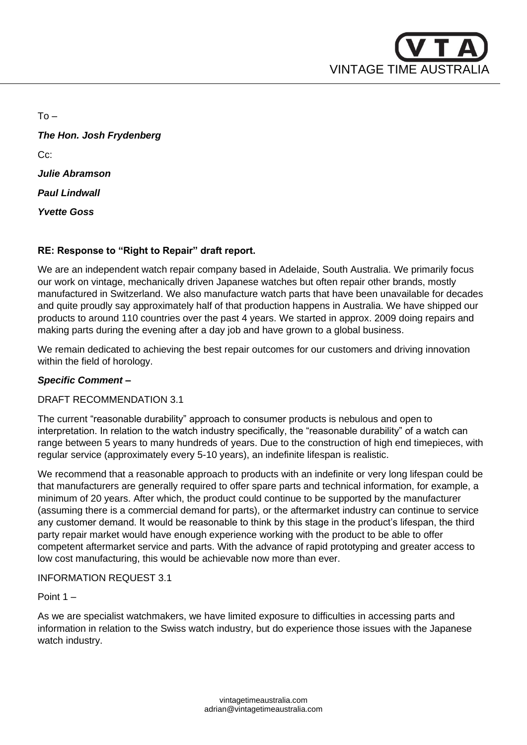

 $To -$ 

*The Hon. Josh Frydenberg* Cc: *Julie Abramson Paul Lindwall Yvette Goss*

## **RE: Response to "Right to Repair" draft report.**

We are an independent watch repair company based in Adelaide, South Australia. We primarily focus our work on vintage, mechanically driven Japanese watches but often repair other brands, mostly manufactured in Switzerland. We also manufacture watch parts that have been unavailable for decades and quite proudly say approximately half of that production happens in Australia. We have shipped our products to around 110 countries over the past 4 years. We started in approx. 2009 doing repairs and making parts during the evening after a day job and have grown to a global business.

We remain dedicated to achieving the best repair outcomes for our customers and driving innovation within the field of horology.

## *Specific Comment –*

DRAFT RECOMMENDATION 3.1

The current "reasonable durability" approach to consumer products is nebulous and open to interpretation. In relation to the watch industry specifically, the "reasonable durability" of a watch can range between 5 years to many hundreds of years. Due to the construction of high end timepieces, with regular service (approximately every 5-10 years), an indefinite lifespan is realistic.

We recommend that a reasonable approach to products with an indefinite or very long lifespan could be that manufacturers are generally required to offer spare parts and technical information, for example, a minimum of 20 years. After which, the product could continue to be supported by the manufacturer (assuming there is a commercial demand for parts), or the aftermarket industry can continue to service any customer demand. It would be reasonable to think by this stage in the product's lifespan, the third party repair market would have enough experience working with the product to be able to offer competent aftermarket service and parts. With the advance of rapid prototyping and greater access to low cost manufacturing, this would be achievable now more than ever.

## INFORMATION REQUEST 3.1

Point 1 –

As we are specialist watchmakers, we have limited exposure to difficulties in accessing parts and information in relation to the Swiss watch industry, but do experience those issues with the Japanese watch industry.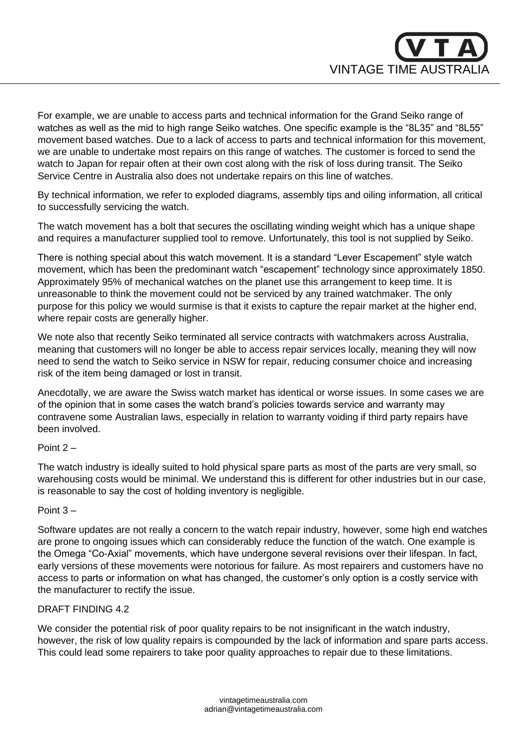

For example, we are unable to access parts and technical information for the Grand Seiko range of watches as well as the mid to high range Seiko watches. One specific example is the "8L35" and "8L55" movement based watches. Due to a lack of access to parts and technical information for this movement, we are unable to undertake most repairs on this range of watches. The customer is forced to send the watch to Japan for repair often at their own cost along with the risk of loss during transit. The Seiko Service Centre in Australia also does not undertake repairs on this line of watches.

By technical information, we refer to exploded diagrams, assembly tips and oiling information, all critical to successfully servicing the watch.

The watch movement has a bolt that secures the oscillating winding weight which has a unique shape and requires a manufacturer supplied tool to remove. Unfortunately, this tool is not supplied by Seiko.

There is nothing special about this watch movement. It is a standard "Lever Escapement" style watch movement, which has been the predominant watch "escapement" technology since approximately 1850. Approximately 95% of mechanical watches on the planet use this arrangement to keep time. It is unreasonable to think the movement could not be serviced by any trained watchmaker. The only purpose for this policy we would surmise is that it exists to capture the repair market at the higher end, where repair costs are generally higher.

We note also that recently Seiko terminated all service contracts with watchmakers across Australia, meaning that customers will no longer be able to access repair services locally, meaning they will now need to send the watch to Seiko service in NSW for repair, reducing consumer choice and increasing risk of the item being damaged or lost in transit.

Anecdotally, we are aware the Swiss watch market has identical or worse issues. In some cases we are of the opinion that in some cases the watch brand's policies towards service and warranty may contravene some Australian laws, especially in relation to warranty voiding if third party repairs have been involved.

#### Point 2 –

The watch industry is ideally suited to hold physical spare parts as most of the parts are very small, so warehousing costs would be minimal. We understand this is different for other industries but in our case, is reasonable to say the cost of holding inventory is negligible.

#### Point 3 –

Software updates are not really a concern to the watch repair industry, however, some high end watches are prone to ongoing issues which can considerably reduce the function of the watch. One example is the Omega "Co-Axial" movements, which have undergone several revisions over their lifespan. In fact, early versions of these movements were notorious for failure. As most repairers and customers have no access to parts or information on what has changed, the customer's only option is a costly service with the manufacturer to rectify the issue.

## DRAFT FINDING 4.2

We consider the potential risk of poor quality repairs to be not insignificant in the watch industry, however, the risk of low quality repairs is compounded by the lack of information and spare parts access. This could lead some repairers to take poor quality approaches to repair due to these limitations.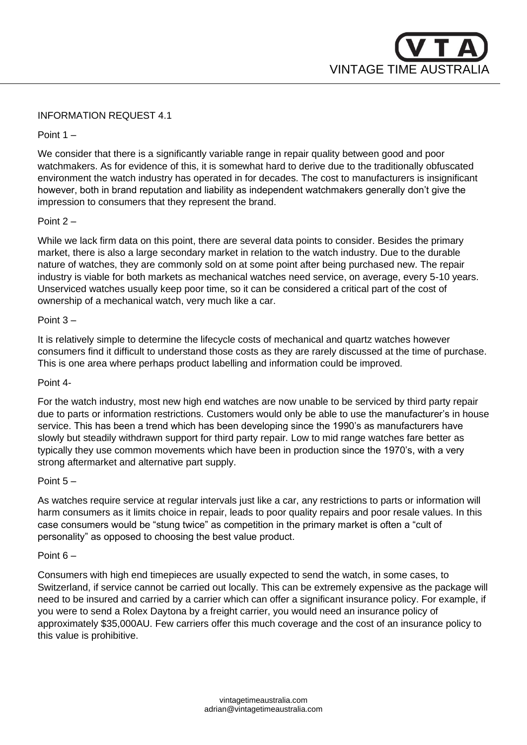

## INFORMATION REQUEST 4.1

Point 1 –

We consider that there is a significantly variable range in repair quality between good and poor watchmakers. As for evidence of this, it is somewhat hard to derive due to the traditionally obfuscated environment the watch industry has operated in for decades. The cost to manufacturers is insignificant however, both in brand reputation and liability as independent watchmakers generally don't give the impression to consumers that they represent the brand.

### Point 2 –

While we lack firm data on this point, there are several data points to consider. Besides the primary market, there is also a large secondary market in relation to the watch industry. Due to the durable nature of watches, they are commonly sold on at some point after being purchased new. The repair industry is viable for both markets as mechanical watches need service, on average, every 5-10 years. Unserviced watches usually keep poor time, so it can be considered a critical part of the cost of ownership of a mechanical watch, very much like a car.

#### Point 3 –

It is relatively simple to determine the lifecycle costs of mechanical and quartz watches however consumers find it difficult to understand those costs as they are rarely discussed at the time of purchase. This is one area where perhaps product labelling and information could be improved.

#### Point 4-

For the watch industry, most new high end watches are now unable to be serviced by third party repair due to parts or information restrictions. Customers would only be able to use the manufacturer's in house service. This has been a trend which has been developing since the 1990's as manufacturers have slowly but steadily withdrawn support for third party repair. Low to mid range watches fare better as typically they use common movements which have been in production since the 1970's, with a very strong aftermarket and alternative part supply.

#### Point 5 –

As watches require service at regular intervals just like a car, any restrictions to parts or information will harm consumers as it limits choice in repair, leads to poor quality repairs and poor resale values. In this case consumers would be "stung twice" as competition in the primary market is often a "cult of personality" as opposed to choosing the best value product.

#### Point 6 –

Consumers with high end timepieces are usually expected to send the watch, in some cases, to Switzerland, if service cannot be carried out locally. This can be extremely expensive as the package will need to be insured and carried by a carrier which can offer a significant insurance policy. For example, if you were to send a Rolex Daytona by a freight carrier, you would need an insurance policy of approximately \$35,000AU. Few carriers offer this much coverage and the cost of an insurance policy to this value is prohibitive.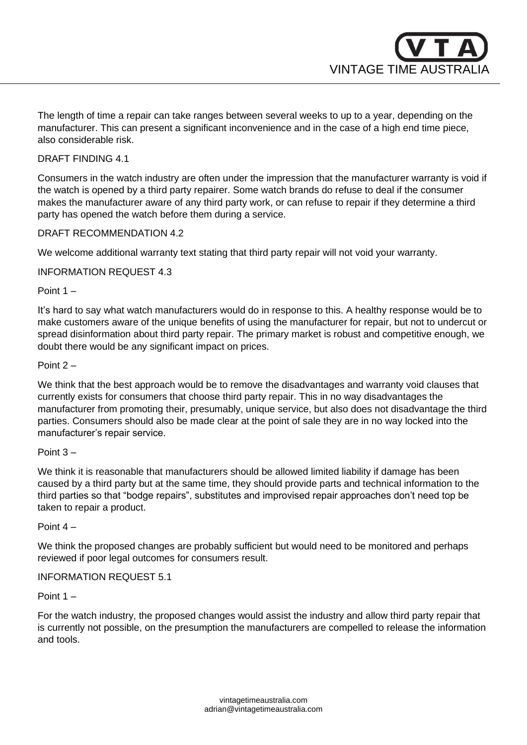**VINTAGE TIME AUSTR** 

The length of time a repair can take ranges between several weeks to up to a year, depending on the manufacturer. This can present a significant inconvenience and in the case of a high end time piece, also considerable risk.

## DRAFT FINDING 4.1

Consumers in the watch industry are often under the impression that the manufacturer warranty is void if the watch is opened by a third party repairer. Some watch brands do refuse to deal if the consumer makes the manufacturer aware of any third party work, or can refuse to repair if they determine a third party has opened the watch before them during a service.

## DRAFT RECOMMENDATION 4.2

We welcome additional warranty text stating that third party repair will not void your warranty.

INFORMATION REQUEST 4.3

Point 1 –

It's hard to say what watch manufacturers would do in response to this. A healthy response would be to make customers aware of the unique benefits of using the manufacturer for repair, but not to undercut or spread disinformation about third party repair. The primary market is robust and competitive enough, we doubt there would be any significant impact on prices.

Point 2 –

We think that the best approach would be to remove the disadvantages and warranty void clauses that currently exists for consumers that choose third party repair. This in no way disadvantages the manufacturer from promoting their, presumably, unique service, but also does not disadvantage the third parties. Consumers should also be made clear at the point of sale they are in no way locked into the manufacturer's repair service.

Point 3 –

We think it is reasonable that manufacturers should be allowed limited liability if damage has been caused by a third party but at the same time, they should provide parts and technical information to the third parties so that "bodge repairs", substitutes and improvised repair approaches don't need top be taken to repair a product.

Point 4 –

We think the proposed changes are probably sufficient but would need to be monitored and perhaps reviewed if poor legal outcomes for consumers result.

## INFORMATION REQUEST 5.1

Point 1 –

For the watch industry, the proposed changes would assist the industry and allow third party repair that is currently not possible, on the presumption the manufacturers are compelled to release the information and tools.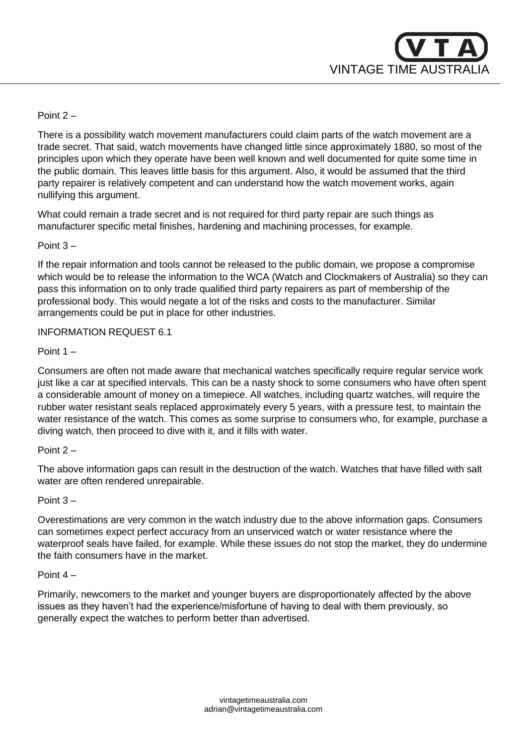

## Point 2 –

There is a possibility watch movement manufacturers could claim parts of the watch movement are a trade secret. That said, watch movements have changed little since approximately 1880, so most of the principles upon which they operate have been well known and well documented for quite some time in the public domain. This leaves little basis for this argument. Also, it would be assumed that the third party repairer is relatively competent and can understand how the watch movement works, again nullifying this argument.

What could remain a trade secret and is not required for third party repair are such things as manufacturer specific metal finishes, hardening and machining processes, for example.

## Point 3 –

If the repair information and tools cannot be released to the public domain, we propose a compromise which would be to release the information to the WCA (Watch and Clockmakers of Australia) so they can pass this information on to only trade qualified third party repairers as part of membership of the professional body. This would negate a lot of the risks and costs to the manufacturer. Similar arrangements could be put in place for other industries.

## INFORMATION REQUEST 6.1

## Point 1 –

Consumers are often not made aware that mechanical watches specifically require regular service work just like a car at specified intervals. This can be a nasty shock to some consumers who have often spent a considerable amount of money on a timepiece. All watches, including quartz watches, will require the rubber water resistant seals replaced approximately every 5 years, with a pressure test, to maintain the water resistance of the watch. This comes as some surprise to consumers who, for example, purchase a diving watch, then proceed to dive with it, and it fills with water.

# Point 2 –

The above information gaps can result in the destruction of the watch. Watches that have filled with salt water are often rendered unrepairable.

## Point 3 –

Overestimations are very common in the watch industry due to the above information gaps. Consumers can sometimes expect perfect accuracy from an unserviced watch or water resistance where the waterproof seals have failed, for example. While these issues do not stop the market, they do undermine the faith consumers have in the market.

## Point 4 –

Primarily, newcomers to the market and younger buyers are disproportionately affected by the above issues as they haven't had the experience/misfortune of having to deal with them previously, so generally expect the watches to perform better than advertised.